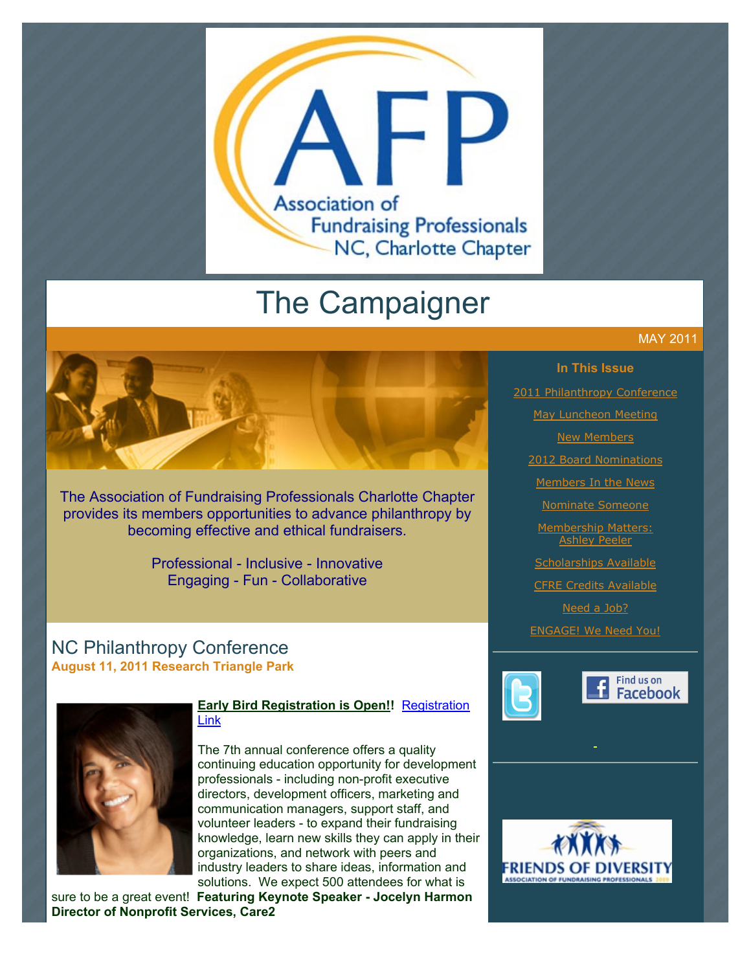

# The Campaigner

The Association of Fundraising Professionals Charlotte Chapter provides its members opportunities to advance philanthropy by becoming effective and ethical fundraisers.

> Professional - Inclusive - Innovative Engaging - Fun - Collaborative

# NC Philanthropy Conference **August 11, 2011 Research Triangle Park**



#### **[Early Bird Registration is Open!!](http://www.ncphilanthropyconference.org/registration.html)** Registration Link

The 7th annual conference offers a quality continuing education opportunity for development professionals - including non-profit executive directors, development officers, marketing and communication managers, support staff, and volunteer leaders - to expand their fundraising knowledge, learn new skills they can apply in their organizations, and network with peers and industry leaders to share ideas, information and solutions. We expect 500 attendees for what is

sure to be a great event! **Featuring Keynote Speaker - Jocelyn Harmon Director of Nonprofit Services, Care2**

#### MAY 2011

#### **In This Issue**

[2011 Philanthropy Conference](http://archive.constantcontact.com/fs051/1101610725496/archive/1105415509016.html#LETTER.BLOCK6)

[May Luncheon Meeting](http://archive.constantcontact.com/fs051/1101610725496/archive/1105415509016.html#LETTER.BLOCK8)

**[New Members](http://archive.constantcontact.com/fs051/1101610725496/archive/1105415509016.html#LETTER.BLOCK10)** 

[2012 Board Nominations](http://archive.constantcontact.com/fs051/1101610725496/archive/1105415509016.html#LETTER.BLOCK12)

[Members In the News](http://archive.constantcontact.com/fs051/1101610725496/archive/1105415509016.html#LETTER.BLOCK14)

[Nominate Someone](http://archive.constantcontact.com/fs051/1101610725496/archive/1105415509016.html#LETTER.BLOCK16)

[Membership Matters:](http://archive.constantcontact.com/fs051/1101610725496/archive/1105415509016.html#LETTER.BLOCK18) Ashley Peeler

[Scholarships Available](http://archive.constantcontact.com/fs051/1101610725496/archive/1105415509016.html#LETTER.BLOCK20)

[CFRE Credits Available](http://archive.constantcontact.com/fs051/1101610725496/archive/1105415509016.html#LETTER.BLOCK22)

[Need a Job?](http://archive.constantcontact.com/fs051/1101610725496/archive/1105415509016.html#LETTER.BLOCK29)

[ENGAGE! We Need You!](http://archive.constantcontact.com/fs051/1101610725496/archive/1105415509016.html#LETTER.BLOCK31)





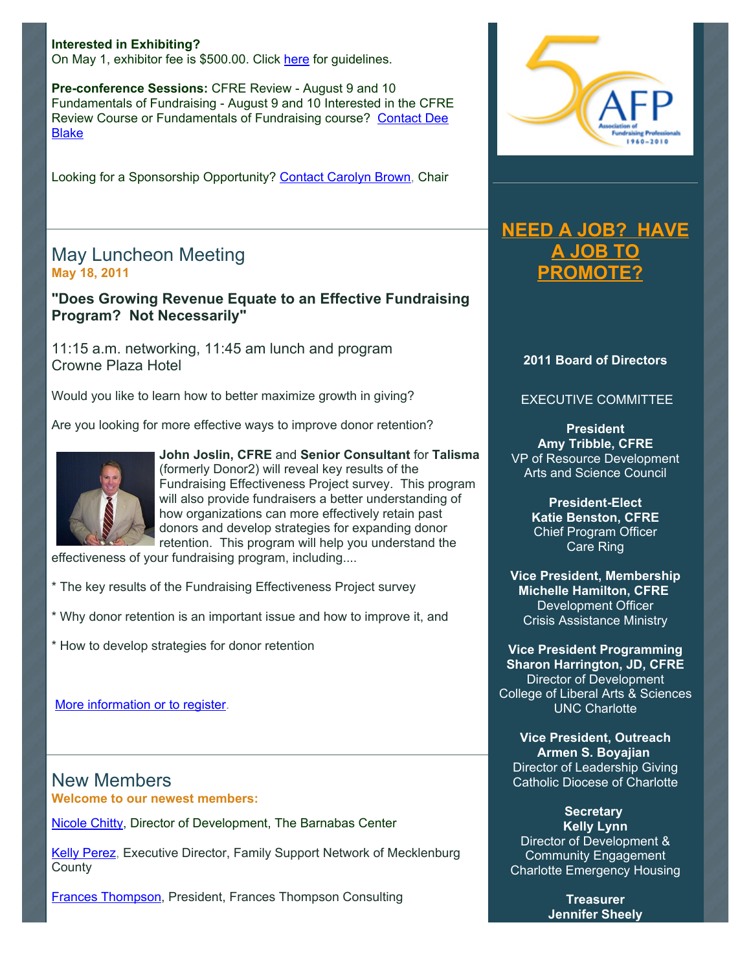**Interested in Exhibiting?**  On May 1, exhibitor fee is \$500.00. Click [here](http://ncphilanthropyconference.org/resourcepartners.html) for guidelines.

**Pre-conference Sessions:** CFRE Review - August 9 and 10 Fundamentals of Fundraising - August 9 and 10 Interested in the CFRE [Review Course or Fundamentals of Fundraising course? Contact Dee](mailto:dee.blake@duke.edu) Blake

Looking for a Sponsorship Opportunity? [Contact Carolyn Brown,](mailto:chbrown@barton.edu) Chair

# May Luncheon Meeting **May 18, 2011**

**"Does Growing Revenue Equate to an Effective Fundraising Program? Not Necessarily"**

11:15 a.m. networking, 11:45 am lunch and program Crowne Plaza Hotel

Would you like to learn how to better maximize growth in giving?

Are you looking for more effective ways to improve donor retention?



**John Joslin, CFRE** and **Senior Consultant** for **Talisma** (formerly Donor2) will reveal key results of the Fundraising Effectiveness Project survey. This program will also provide fundraisers a better understanding of how organizations can more effectively retain past donors and develop strategies for expanding donor retention. This program will help you understand the

effectiveness of your fundraising program, including....

\* The key results of the Fundraising Effectiveness Project survey

\* Why donor retention is an important issue and how to improve it, and

\* How to develop strategies for donor retention

[More information or to register](http://www.afp-charlotte.org/rsvp_details.html?id=3011).

New Members **Welcome to our newest members:** 

[Nicole Chitty](mailto:nchitty@thebarnabascenter.org), Director of Development, The Barnabas Center

[Kelly Perez,](mailto:kelly@familysupportcharlotte.org) Executive Director, Family Support Network of Mecklenburg **County** 

[Frances Thompson,](mailto:fthompson48@carolina.rr.com) President, Frances Thompson Consulting



# **[NEED A JOB? HAVE](http://www.afp-charlotte.org/executivereferrals.html) A JOB TO PROMOTE?**

#### **2011 Board of Directors**

#### EXECUTIVE COMMITTEE

**President Amy Tribble, CFRE** VP of Resource Development Arts and Science Council

> **President-Elect Katie Benston, CFRE** Chief Program Officer Care Ring

**Vice President, Membership Michelle Hamilton, CFRE** Development Officer Crisis Assistance Ministry

**Vice President Programming Sharon Harrington, JD, CFRE** Director of Development College of Liberal Arts & Sciences UNC Charlotte

**Vice President, Outreach Armen S. Boyajian** Director of Leadership Giving Catholic Diocese of Charlotte

**Secretary Kelly Lynn** Director of Development & Community Engagement Charlotte Emergency Housing

> **Treasurer Jennifer Sheely**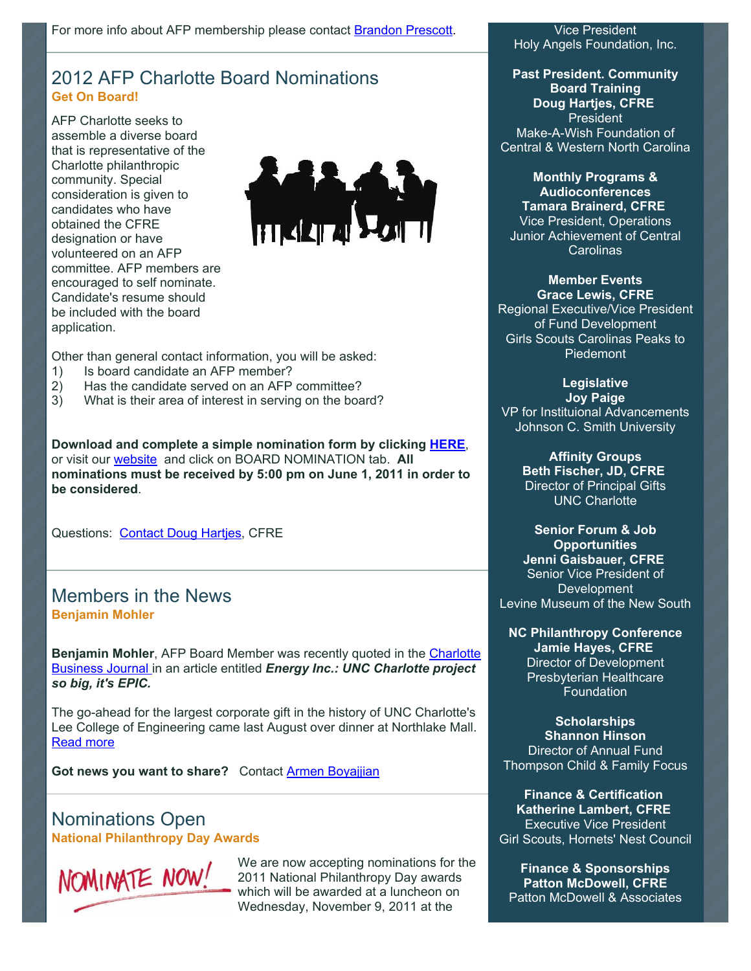# 2012 AFP Charlotte Board Nominations **Get On Board!**

AFP Charlotte seeks to assemble a diverse board that is representative of the Charlotte philanthropic community. Special consideration is given to candidates who have obtained the CFRE designation or have volunteered on an AFP committee. AFP members are encouraged to self nominate. Candidate's resume should be included with the board application.



Other than general contact information, you will be asked:

- 1) Is board candidate an AFP member?
- 2) Has the candidate served on an AFP committee?
- 3) What is their area of interest in serving on the board?

**Download and complete a simple nomination form by clicking [HERE](http://www.afp-charlotte.org/customers/102012921065393/filemanager/2011_AFP_Charlotte_Board_Application.pdf)**, or visit our [website](http://www.afp-charlotte.org/) and click on BOARD NOMINATION tab. **All nominations must be received by 5:00 pm on June 1, 2011 in order to be considered**.

Questions: [Contact Doug Hartjes,](mailto:dhartjes@ncwish.org) CFRE

# Members in the News **Benjamin Mohler**

Benjamin Mohler, AFP Board Member was recently quoted in the **Charlotte** Business Journal in an article entitled *Energy Inc.: UNC Charlotte project so big, it's EPIC.* 

The go-ahead for the largest corporate gift in the history of UNC Charlotte's Lee College of Engineering came last August over dinner at Northlake Mall. [Read more](http://www.bizjournals.com/charlotte/print-edition/2011/04/29/energy-inc-a-project-so-big-its-epic.html)

Got news you want to share? Contact **Armen Boyajjian** 

# Nominations Open **National Philanthropy Day Awards**



We are now accepting nominations for the 2011 National Philanthropy Day awards which will be awarded at a luncheon on Wednesday, November 9, 2011 at the

Vice President Holy Angels Foundation, Inc.

**Past President. Community Board Training Doug Hartjes, CFRE** President Make-A-Wish Foundation of Central & Western North Carolina

**Monthly Programs & Audioconferences Tamara Brainerd, CFRE** Vice President, Operations Junior Achievement of Central Carolinas

#### **Member Events Grace Lewis, CFRE**

Regional Executive/Vice President of Fund Development Girls Scouts Carolinas Peaks to Piedemont

> **Legislative Joy Paige**

VP for Instituional Advancements Johnson C. Smith University

> **Affinity Groups Beth Fischer, JD, CFRE** Director of Principal Gifts UNC Charlotte

**Senior Forum & Job Opportunities Jenni Gaisbauer, CFRE** Senior Vice President of Development Levine Museum of the New South

**NC Philanthropy Conference Jamie Hayes, CFRE Director of Development** Presbyterian Healthcare Foundation

**Scholarships Shannon Hinson** Director of Annual Fund Thompson Child & Family Focus

**Finance & Certification Katherine Lambert, CFRE** Executive Vice President Girl Scouts, Hornets' Nest Council

**Finance & Sponsorships Patton McDowell, CFRE** Patton McDowell & Associates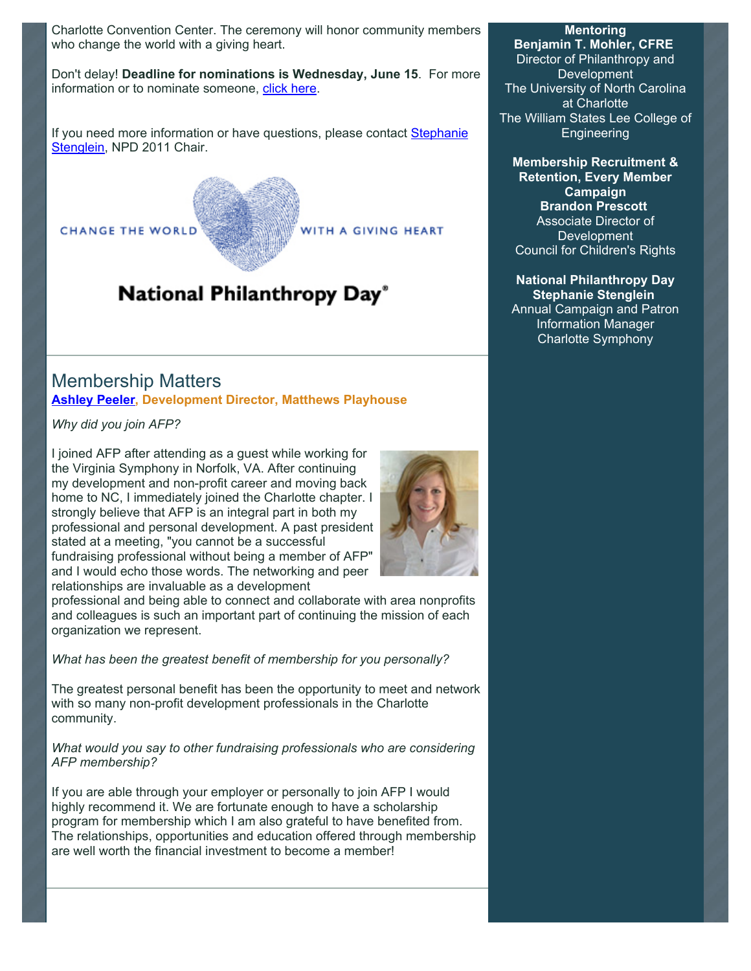Charlotte Convention Center. The ceremony will honor community members who change the world with a giving heart.

Don't delay! **Deadline for nominations is Wednesday, June 15**. For more information or to nominate someone, [click here.](http://www.afp-charlotte.org/nationalphilanthropyday.html)

[If you need more information or have questions, please contact Stephanie](mailto:StephanieS@charlottesymphony.org) Stenglein, NPD 2011 Chair.



# National Philanthropy Day®

# Membership Matters **[Ashley Peeler,](mailto:ashley.peeler@gmail.com) Development Director, Matthews Playhouse**

*Why did you join AFP?* 

I joined AFP after attending as a guest while working for the Virginia Symphony in Norfolk, VA. After continuing my development and non-profit career and moving back home to NC, I immediately joined the Charlotte chapter. I strongly believe that AFP is an integral part in both my professional and personal development. A past president stated at a meeting, "you cannot be a successful fundraising professional without being a member of AFP" and I would echo those words. The networking and peer relationships are invaluable as a development

professional and being able to connect and collaborate with area nonprofits and colleagues is such an important part of continuing the mission of each organization we represent.

*What has been the greatest benefit of membership for you personally?* 

The greatest personal benefit has been the opportunity to meet and network with so many non-profit development professionals in the Charlotte community.

*What would you say to other fundraising professionals who are considering AFP membership?* 

If you are able through your employer or personally to join AFP I would highly recommend it. We are fortunate enough to have a scholarship program for membership which I am also grateful to have benefited from. The relationships, opportunities and education offered through membership are well worth the financial investment to become a member!

#### **Mentoring**

**Benjamin T. Mohler, CFRE** Director of Philanthropy and **Development** The University of North Carolina at Charlotte The William States Lee College of **Engineering** 

**Membership Recruitment & Retention, Every Member Campaign Brandon Prescott** Associate Director of **Development** Council for Children's Rights

**National Philanthropy Day Stephanie Stenglein** Annual Campaign and Patron Information Manager Charlotte Symphony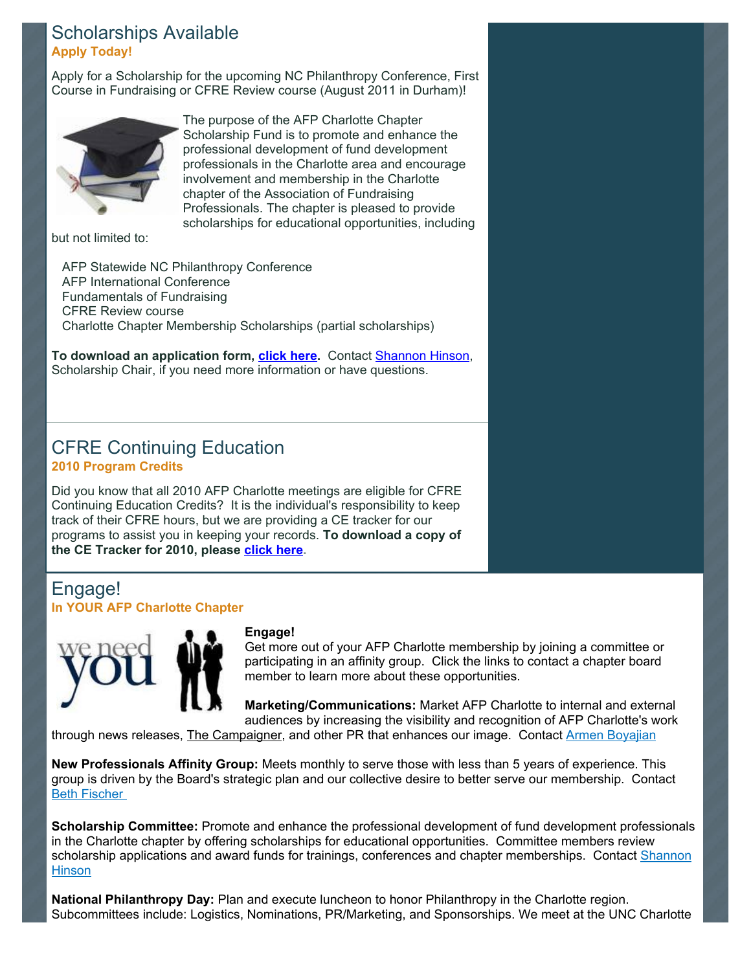### Scholarships Available **Apply Today!**

Apply for a Scholarship for the upcoming NC Philanthropy Conference, First Course in Fundraising or CFRE Review course (August 2011 in Durham)!



The purpose of the AFP Charlotte Chapter Scholarship Fund is to promote and enhance the professional development of fund development professionals in the Charlotte area and encourage involvement and membership in the Charlotte chapter of the Association of Fundraising Professionals. The chapter is pleased to provide scholarships for educational opportunities, including

but not limited to:

 AFP Statewide NC Philanthropy Conference AFP International Conference Fundamentals of Fundraising CFRE Review course Charlotte Chapter Membership Scholarships (partial scholarships)

**To download an application form, [click here.](http://www.afp-charlotte.org/scholarships.html)** Contact [Shannon Hinson,](mailto:shinson@thompsoncff.org) Scholarship Chair, if you need more information or have questions.

# CFRE Continuing Education **2010 Program Credits**

Did you know that all 2010 AFP Charlotte meetings are eligible for CFRE Continuing Education Credits? It is the individual's responsibility to keep track of their CFRE hours, but we are providing a CE tracker for our programs to assist you in keeping your records. **To download a copy of the CE Tracker for 2010, please [click here.](http://www.afp-charlotte.org//customers/102012921065393/filemanager/2010_CE_Tracker_AFP_Charlotte.pdf)**

# Engage! **In YOUR AFP Charlotte Chapter**



#### **Engage!**

Get more out of your AFP Charlotte membership by joining a committee or participating in an affinity group. Click the links to contact a chapter board member to learn more about these opportunities.

**Marketing/Communications:** Market AFP Charlotte to internal and external audiences by increasing the visibility and recognition of AFP Charlotte's work

through news releases, The Campaigner, and other PR that enhances our image. Contact [Armen Boyajian](mailto:asboyajian@charlottediocese.org)

**New Professionals Affinity Group:** Meets monthly to serve those with less than 5 years of experience. This group is driven by the Board's strategic plan and our collective desire to better serve our membership. Contact [Beth Fischer](mailto:Beth.Fischer@uncc.edu) 

**Scholarship Committee:** Promote and enhance the professional development of fund development professionals in the Charlotte chapter by offering scholarships for educational opportunities. Committee members review [scholarship applications and award funds for trainings, conferences and chapter memberships. Contact Shannon](mailto:Shinson@thompsoncff.org) **Hinson** 

**National Philanthropy Day:** Plan and execute luncheon to honor Philanthropy in the Charlotte region. Subcommittees include: Logistics, Nominations, PR/Marketing, and Sponsorships. We meet at the UNC Charlotte